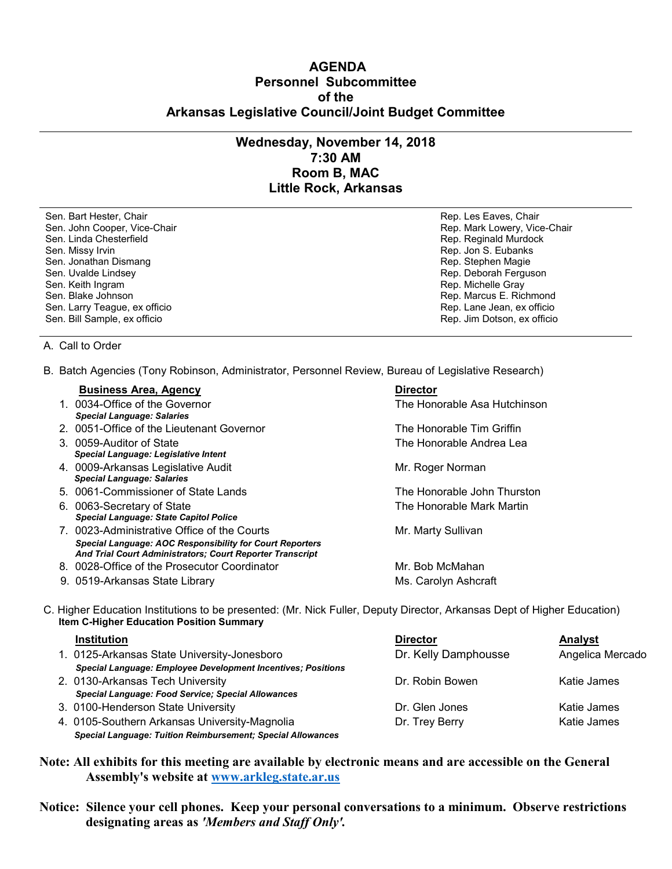## **AGENDA Personnel Subcommittee of the Arkansas Legislative Council/Joint Budget Committee**

## **Wednesday, November 14, 2018 7:30 AM Room B, MAC Little Rock, Arkansas**

Sen. Bart Hester, Chair **Rep. Les Eaves, Chair** Rep. Les Eaves, Chair Rep. Les Eaves, Chair Sen. John Cooper, Vice-Chair **Rep. Access 1999** Sen. John Cooper, Vice-Chair Rep. Mark Lowery, Vice-Chair Sen. Linda Chesterfield **Rep. Reginald Murdock** Rep. Reginald Murdock Sen. Missy Irvin **Rep. 1998** Sen. Missy Irvin **Rep. 3. Eubanks** Sen. Jonathan Dismang Rep. Stephen Magie Sen. Uvalde Lindsey The Controller of the Sen. Web Sen. Uvalde Lindsey The Controller of the Sen. Rep. Deborah Ferguson<br>Sen. Keith Ingram The Controller of the Sen. Keith Ingram The Controller of the Controller of the Sen. Sen. Keith Ingram National Sen. Keith Ingram National Sen. Keith Ingram National Sen. Rep. Michelle Gray Sen. Blake Johnson National Sen. Blake Johnson National Sen. Blake Johnson National Sen. Rep. Marcus E. Ric Sen. Larry Teague, ex officio

Rep. Marcus E. Richmond<br>Rep. Lane Jean, ex officio Sen. Bill Sample, ex officio Rep. Jim Dotson, ex officio

## A. Call to Order

B. Batch Agencies (Tony Robinson, Administrator, Personnel Review, Bureau of Legislative Research)

| <b>Business Area, Agency</b>                                    | <b>Director</b>               |
|-----------------------------------------------------------------|-------------------------------|
| 1. 0034-Office of the Governor                                  | The Honorable Asa Hutchinson. |
| <b>Special Language: Salaries</b>                               |                               |
| 2. 0051-Office of the Lieutenant Governor                       | The Honorable Tim Griffin     |
| 3. 0059-Auditor of State                                        | The Honorable Andrea Leal     |
| Special Language: Legislative Intent                            |                               |
| 4. 0009-Arkansas Legislative Audit                              | Mr. Roger Norman              |
| <b>Special Language: Salaries</b>                               |                               |
| 5. 0061-Commissioner of State Lands                             | The Honorable John Thurston   |
| 6. 0063-Secretary of State                                      | The Honorable Mark Martin     |
| <b>Special Language: State Capitol Police</b>                   |                               |
| 7. 0023-Administrative Office of the Courts                     | Mr. Marty Sullivan            |
| <b>Special Language: AOC Responsibility for Court Reporters</b> |                               |
| And Trial Court Administrators; Court Reporter Transcript       |                               |
| 8. 0028-Office of the Prosecutor Coordinator                    | Mr. Bob McMahan               |
| 9. 0519-Arkansas State Library                                  | Ms. Carolyn Ashcraft          |
|                                                                 |                               |

 C. Higher Education Institutions to be presented: (Mr. Nick Fuller, Deputy Director, Arkansas Dept of Higher Education) **Item C-Higher Education Position Summary** 

| <b>Institution</b>                                                  | <b>Director</b>      | Analyst          |
|---------------------------------------------------------------------|----------------------|------------------|
| 1. 0125-Arkansas State University-Jonesboro                         | Dr. Kelly Damphousse | Angelica Mercado |
| <b>Special Language: Employee Development Incentives; Positions</b> |                      |                  |
| 2. 0130-Arkansas Tech University                                    | Dr. Robin Bowen      | Katie James      |
| <b>Special Language: Food Service; Special Allowances</b>           |                      |                  |
| 3. 0100-Henderson State University                                  | Dr. Glen Jones       | Katie James      |
| 4. 0105-Southern Arkansas University-Magnolia                       | Dr. Trey Berry       | Katie James      |
| <b>Special Language: Tuition Reimbursement; Special Allowances</b>  |                      |                  |

**Note: All exhibits for this meeting are available by electronic means and are accessible on the General Assembly's website at [www.arkleg.state.ar.us](http://www.arkleg.state.ar.us)**

**Notice: Silence your cell phones. Keep your personal conversations to a minimum. Observe restrictions designating areas as** *'Members and Staff Only'.*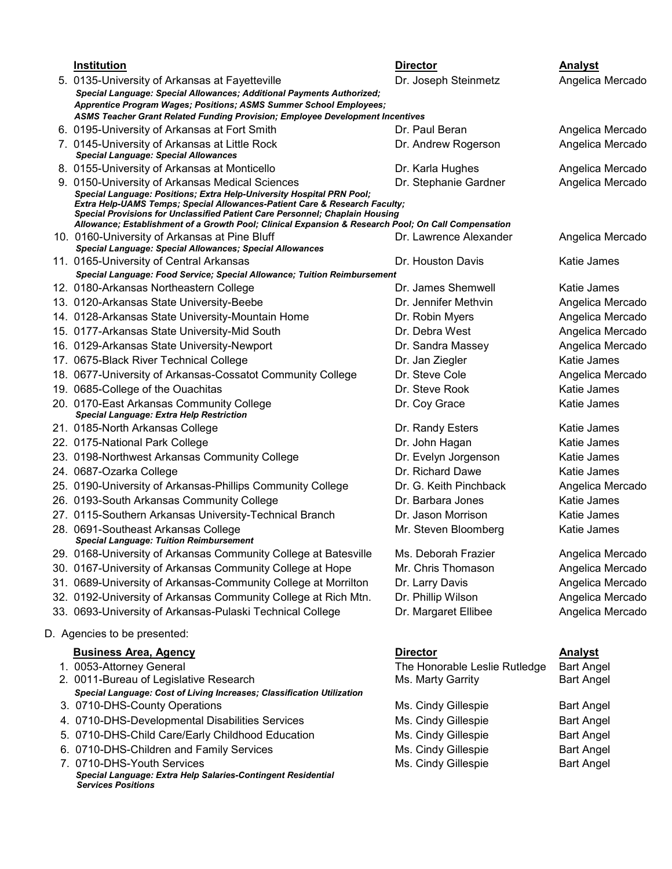|                              | <b>Institution</b>                                                                                                                                                                                                                                                                                                                         | <b>Director</b>               | <b>Analyst</b>    |  |  |  |
|------------------------------|--------------------------------------------------------------------------------------------------------------------------------------------------------------------------------------------------------------------------------------------------------------------------------------------------------------------------------------------|-------------------------------|-------------------|--|--|--|
|                              | 5. 0135-University of Arkansas at Fayetteville                                                                                                                                                                                                                                                                                             | Dr. Joseph Steinmetz          | Angelica Mercado  |  |  |  |
|                              | Special Language: Special Allowances; Additional Payments Authorized;                                                                                                                                                                                                                                                                      |                               |                   |  |  |  |
|                              | Apprentice Program Wages; Positions; ASMS Summer School Employees;                                                                                                                                                                                                                                                                         |                               |                   |  |  |  |
|                              | ASMS Teacher Grant Related Funding Provision; Employee Development Incentives                                                                                                                                                                                                                                                              |                               |                   |  |  |  |
|                              | 6. 0195-University of Arkansas at Fort Smith                                                                                                                                                                                                                                                                                               | Dr. Paul Beran                | Angelica Mercado  |  |  |  |
|                              | 7. 0145-University of Arkansas at Little Rock<br><b>Special Language: Special Allowances</b>                                                                                                                                                                                                                                               | Dr. Andrew Rogerson           | Angelica Mercado  |  |  |  |
|                              | 8. 0155-University of Arkansas at Monticello                                                                                                                                                                                                                                                                                               | Dr. Karla Hughes              | Angelica Mercado  |  |  |  |
|                              | 9. 0150-University of Arkansas Medical Sciences                                                                                                                                                                                                                                                                                            | Dr. Stephanie Gardner         | Angelica Mercado  |  |  |  |
|                              | Special Language: Positions; Extra Help-University Hospital PRN Pool;<br>Extra Help-UAMS Temps; Special Allowances-Patient Care & Research Faculty;<br>Special Provisions for Unclassified Patient Care Personnel; Chaplain Housing<br>Allowance; Establishment of a Growth Pool; Clinical Expansion & Research Pool; On Call Compensation |                               |                   |  |  |  |
|                              | 10. 0160-University of Arkansas at Pine Bluff                                                                                                                                                                                                                                                                                              | Dr. Lawrence Alexander        | Angelica Mercado  |  |  |  |
|                              | Special Language: Special Allowances; Special Allowances                                                                                                                                                                                                                                                                                   |                               |                   |  |  |  |
|                              | 11. 0165-University of Central Arkansas                                                                                                                                                                                                                                                                                                    | Dr. Houston Davis             | Katie James       |  |  |  |
|                              | Special Language: Food Service; Special Allowance; Tuition Reimbursement                                                                                                                                                                                                                                                                   |                               |                   |  |  |  |
|                              | 12. 0180-Arkansas Northeastern College                                                                                                                                                                                                                                                                                                     | Dr. James Shemwell            | Katie James       |  |  |  |
|                              | 13. 0120-Arkansas State University-Beebe                                                                                                                                                                                                                                                                                                   | Dr. Jennifer Methvin          | Angelica Mercado  |  |  |  |
|                              | 14. 0128-Arkansas State University-Mountain Home                                                                                                                                                                                                                                                                                           | Dr. Robin Myers               | Angelica Mercado  |  |  |  |
|                              | 15. 0177-Arkansas State University-Mid South                                                                                                                                                                                                                                                                                               | Dr. Debra West                | Angelica Mercado  |  |  |  |
|                              | 16. 0129-Arkansas State University-Newport                                                                                                                                                                                                                                                                                                 | Dr. Sandra Massey             | Angelica Mercado  |  |  |  |
|                              | 17. 0675-Black River Technical College                                                                                                                                                                                                                                                                                                     | Dr. Jan Ziegler               | Katie James       |  |  |  |
|                              | 18. 0677-University of Arkansas-Cossatot Community College                                                                                                                                                                                                                                                                                 | Dr. Steve Cole                | Angelica Mercado  |  |  |  |
|                              | 19. 0685-College of the Ouachitas                                                                                                                                                                                                                                                                                                          | Dr. Steve Rook                | Katie James       |  |  |  |
|                              | 20. 0170-East Arkansas Community College                                                                                                                                                                                                                                                                                                   | Dr. Coy Grace                 | Katie James       |  |  |  |
|                              | Special Language: Extra Help Restriction                                                                                                                                                                                                                                                                                                   |                               |                   |  |  |  |
|                              | 21. 0185-North Arkansas College                                                                                                                                                                                                                                                                                                            | Dr. Randy Esters              | Katie James       |  |  |  |
|                              | 22. 0175-National Park College                                                                                                                                                                                                                                                                                                             | Dr. John Hagan                | Katie James       |  |  |  |
|                              | 23. 0198-Northwest Arkansas Community College                                                                                                                                                                                                                                                                                              | Dr. Evelyn Jorgenson          | Katie James       |  |  |  |
|                              | 24. 0687-Ozarka College                                                                                                                                                                                                                                                                                                                    | Dr. Richard Dawe              | Katie James       |  |  |  |
|                              | 25. 0190-University of Arkansas-Phillips Community College                                                                                                                                                                                                                                                                                 | Dr. G. Keith Pinchback        | Angelica Mercado  |  |  |  |
|                              | 26. 0193-South Arkansas Community College                                                                                                                                                                                                                                                                                                  | Dr. Barbara Jones             | Katie James       |  |  |  |
|                              | 27. 0115-Southern Arkansas University-Technical Branch                                                                                                                                                                                                                                                                                     | Dr. Jason Morrison            | Katie James       |  |  |  |
|                              | 28. 0691-Southeast Arkansas College<br><b>Special Language: Tuition Reimbursement</b>                                                                                                                                                                                                                                                      | Mr. Steven Bloomberg          | Katie James       |  |  |  |
|                              | 29. 0168-University of Arkansas Community College at Batesville                                                                                                                                                                                                                                                                            | Ms. Deborah Frazier           | Angelica Mercado  |  |  |  |
|                              | 30. 0167-University of Arkansas Community College at Hope                                                                                                                                                                                                                                                                                  | Mr. Chris Thomason            | Angelica Mercado  |  |  |  |
|                              | 31. 0689-University of Arkansas-Community College at Morrilton                                                                                                                                                                                                                                                                             | Dr. Larry Davis               | Angelica Mercado  |  |  |  |
|                              | 32. 0192-University of Arkansas Community College at Rich Mtn.                                                                                                                                                                                                                                                                             | Dr. Phillip Wilson            | Angelica Mercado  |  |  |  |
|                              | 33. 0693-University of Arkansas-Pulaski Technical College                                                                                                                                                                                                                                                                                  | Dr. Margaret Ellibee          | Angelica Mercado  |  |  |  |
| D. Agencies to be presented: |                                                                                                                                                                                                                                                                                                                                            |                               |                   |  |  |  |
|                              | <b>Business Area, Agency</b>                                                                                                                                                                                                                                                                                                               | <b>Director</b>               | <b>Analyst</b>    |  |  |  |
|                              | 1. 0053-Attorney General                                                                                                                                                                                                                                                                                                                   | The Honorable Leslie Rutledge | <b>Bart Angel</b> |  |  |  |
|                              | 2. 0011-Bureau of Legislative Research                                                                                                                                                                                                                                                                                                     | Ms. Marty Garrity             | <b>Bart Angel</b> |  |  |  |
|                              | Special Language: Cost of Living Increases; Classification Utilization                                                                                                                                                                                                                                                                     |                               |                   |  |  |  |
|                              | 3. 0710-DHS-County Operations                                                                                                                                                                                                                                                                                                              | Ms. Cindy Gillespie           | <b>Bart Angel</b> |  |  |  |
|                              | 4. 0710-DHS-Developmental Disabilities Services                                                                                                                                                                                                                                                                                            | Ms. Cindy Gillespie           | <b>Bart Angel</b> |  |  |  |
|                              | 5. 0710-DHS-Child Care/Early Childhood Education                                                                                                                                                                                                                                                                                           | Ms. Cindy Gillespie           | <b>Bart Angel</b> |  |  |  |
|                              | 6. 0710-DHS-Children and Family Services                                                                                                                                                                                                                                                                                                   | Ms. Cindy Gillespie           | <b>Bart Angel</b> |  |  |  |
|                              | 7. 0710-DHS-Youth Services                                                                                                                                                                                                                                                                                                                 | Ms. Cindy Gillespie           | <b>Bart Angel</b> |  |  |  |

 *Special Language: Extra Help Salaries-Contingent Residential Services Positions*